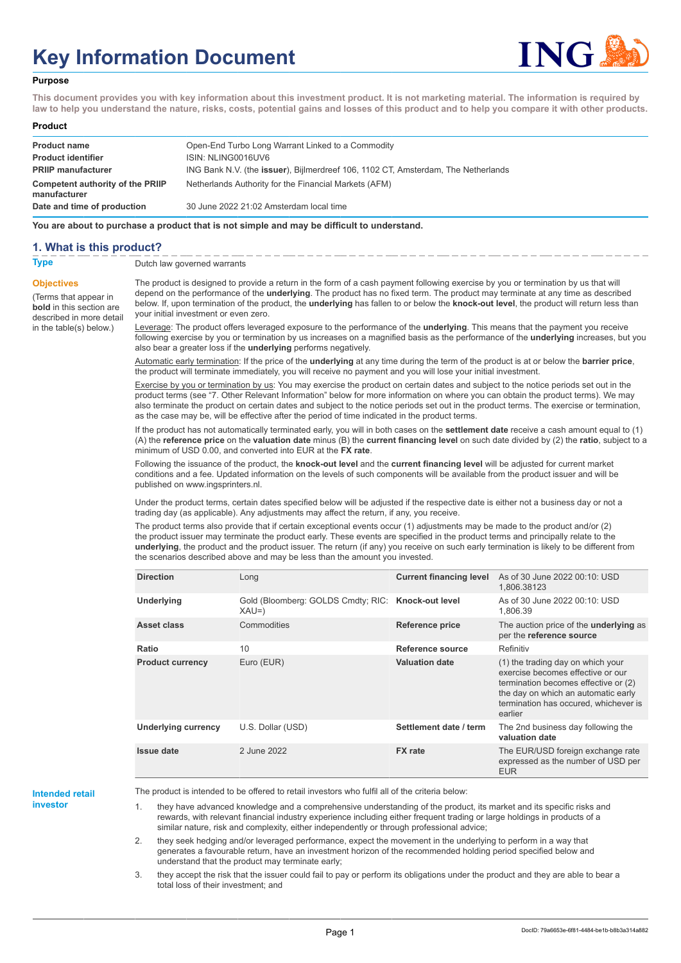# **Key Information Document**



#### **Purpose**

**This document provides you with key information about this investment product. It is not marketing material. The information is required by law to help you understand the nature, risks, costs, potential gains and losses of this product and to help you compare it with other products.**

#### **Product**

| <b>Product name</b><br><b>Product identifier</b> | Open-End Turbo Long Warrant Linked to a Commodity<br>ISIN: NLING0016UV6                   |
|--------------------------------------------------|-------------------------------------------------------------------------------------------|
| <b>PRIIP manufacturer</b>                        | ING Bank N.V. (the <b>issuer</b> ), Bijlmerdreef 106, 1102 CT, Amsterdam, The Netherlands |
| Competent authority of the PRIIP<br>manufacturer | Netherlands Authority for the Financial Markets (AFM)                                     |
| Date and time of production                      | 30 June 2022 21:02 Amsterdam local time                                                   |

**You are about to purchase a product that is not simple and may be difficult to understand.**

## **1. What is this product?**

**Objectives**

(Terms that appear in **bold** in this section are

in the table(s) below.)

**Type** Dutch law governed warrants

described in more detail The product is designed to provide a return in the form of a cash payment following exercise by you or termination by us that will depend on the performance of the **underlying**. The product has no fixed term. The product may terminate at any time as described below. If, upon termination of the product, the **underlying** has fallen to or below the **knock-out level**, the product will return less than your initial investment or even zero.

> Leverage: The product offers leveraged exposure to the performance of the **underlying**. This means that the payment you receive following exercise by you or termination by us increases on a magnified basis as the performance of the **underlying** increases, but you also bear a greater loss if the **underlying** performs negatively.

Automatic early termination: If the price of the **underlying** at any time during the term of the product is at or below the **barrier price**, the product will terminate immediately, you will receive no payment and you will lose your initial investment.

Exercise by you or termination by us: You may exercise the product on certain dates and subject to the notice periods set out in the product terms (see "7. Other Relevant Information" below for more information on where you can obtain the product terms). We may also terminate the product on certain dates and subject to the notice periods set out in the product terms. The exercise or termination, as the case may be, will be effective after the period of time indicated in the product terms.

If the product has not automatically terminated early, you will in both cases on the **settlement date** receive a cash amount equal to (1) (A) the **reference price** on the **valuation date** minus (B) the **current financing level** on such date divided by (2) the **ratio**, subject to a minimum of USD 0.00, and converted into EUR at the **FX rate**.

Following the issuance of the product, the **knock-out level** and the **current financing level** will be adjusted for current market conditions and a fee. Updated information on the levels of such components will be available from the product issuer and will be published on www.ingsprinters.nl.

Under the product terms, certain dates specified below will be adjusted if the respective date is either not a business day or not a trading day (as applicable). Any adjustments may affect the return, if any, you receive.

The product terms also provide that if certain exceptional events occur (1) adjustments may be made to the product and/or (2) the product issuer may terminate the product early. These events are specified in the product terms and principally relate to the **underlying**, the product and the product issuer. The return (if any) you receive on such early termination is likely to be different from the scenarios described above and may be less than the amount you invested.

| <b>Direction</b>           | Long                                                         | <b>Current financing level</b> | As of 30 June 2022 00:10: USD<br>1,806.38123                                                                                                                                                              |
|----------------------------|--------------------------------------------------------------|--------------------------------|-----------------------------------------------------------------------------------------------------------------------------------------------------------------------------------------------------------|
| Underlying                 | Gold (Bloomberg: GOLDS Cmdty; RIC: Knock-out level<br>$XAU=$ |                                | As of 30 June 2022 00:10: USD<br>1,806.39                                                                                                                                                                 |
| Asset class                | Commodities                                                  | <b>Reference price</b>         | The auction price of the <b>underlying</b> as<br>per the reference source                                                                                                                                 |
| Ratio                      | 10                                                           | Reference source               | Refinitiv                                                                                                                                                                                                 |
| <b>Product currency</b>    | Euro (EUR)                                                   | <b>Valuation date</b>          | (1) the trading day on which your<br>exercise becomes effective or our<br>termination becomes effective or (2)<br>the day on which an automatic early<br>termination has occured, whichever is<br>earlier |
| <b>Underlying currency</b> | U.S. Dollar (USD)                                            | Settlement date / term         | The 2nd business day following the<br>valuation date                                                                                                                                                      |
| <b>Issue date</b>          | 2 June 2022                                                  | <b>FX</b> rate                 | The EUR/USD foreign exchange rate<br>expressed as the number of USD per<br><b>EUR</b>                                                                                                                     |

# **Intended retail**

**investor**

The product is intended to be offered to retail investors who fulfil all of the criteria below:

1. they have advanced knowledge and a comprehensive understanding of the product, its market and its specific risks and rewards, with relevant financial industry experience including either frequent trading or large holdings in products of a similar nature, risk and complexity, either independently or through professional advice;

2. they seek hedging and/or leveraged performance, expect the movement in the underlying to perform in a way that generates a favourable return, have an investment horizon of the recommended holding period specified below and understand that the product may terminate early;

3. they accept the risk that the issuer could fail to pay or perform its obligations under the product and they are able to bear a total loss of their investment; and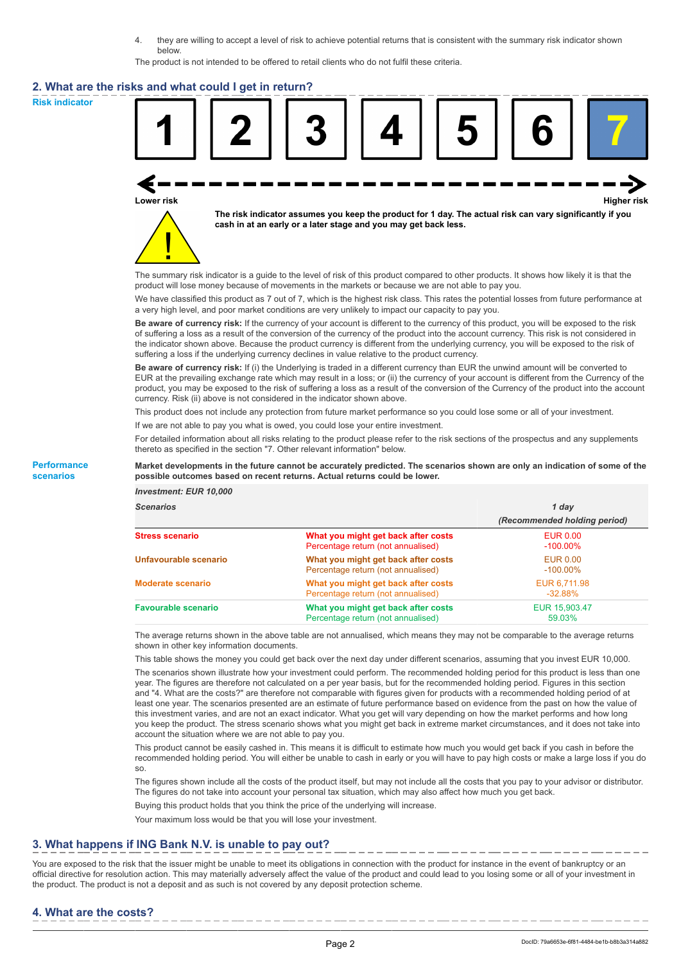4. they are willing to accept a level of risk to achieve potential returns that is consistent with the summary risk indicator shown below.

The product is not intended to be offered to retail clients who do not fulfil these criteria.

#### **2. What are the risks and what could I get in return?**

**Risk indicator**



**Lower risk Higher risk**



**The risk indicator assumes you keep the product for 1 day. The actual risk can vary significantly if you cash in at an early or a later stage and you may get back less.**

The summary risk indicator is a guide to the level of risk of this product compared to other products. It shows how likely it is that the product will lose money because of movements in the markets or because we are not able to pay you.

We have classified this product as 7 out of 7, which is the highest risk class. This rates the potential losses from future performance at a very high level, and poor market conditions are very unlikely to impact our capacity to pay you.

**Be aware of currency risk:** If the currency of your account is different to the currency of this product, you will be exposed to the risk of suffering a loss as a result of the conversion of the currency of the product into the account currency. This risk is not considered in the indicator shown above. Because the product currency is different from the underlying currency, you will be exposed to the risk of suffering a loss if the underlying currency declines in value relative to the product currency.

**Be aware of currency risk:** If (i) the Underlying is traded in a different currency than EUR the unwind amount will be converted to EUR at the prevailing exchange rate which may result in a loss; or (ii) the currency of your account is different from the Currency of the product, you may be exposed to the risk of suffering a loss as a result of the conversion of the Currency of the product into the account currency. Risk (ii) above is not considered in the indicator shown above.

This product does not include any protection from future market performance so you could lose some or all of your investment.

If we are not able to pay you what is owed, you could lose your entire investment.

For detailed information about all risks relating to the product please refer to the risk sections of the prospectus and any supplements thereto as specified in the section "7. Other relevant information" below.

**Market developments in the future cannot be accurately predicted. The scenarios shown are only an indication of some of the possible outcomes based on recent returns. Actual returns could be lower.**

#### **Performance scenarios**

*Investment: EUR 10,000*

| Scenarios                  | 1 dav                                                                     |                                |
|----------------------------|---------------------------------------------------------------------------|--------------------------------|
|                            |                                                                           | (Recommended holding period)   |
| Stress scenario            | What you might get back after costs<br>Percentage return (not annualised) | <b>EUR 0.00</b><br>$-100.00\%$ |
| Unfavourable scenario      | What you might get back after costs<br>Percentage return (not annualised) | <b>EUR 0.00</b><br>$-100.00\%$ |
| <b>Moderate scenario</b>   | What you might get back after costs<br>Percentage return (not annualised) | EUR 6,711.98<br>$-32.88\%$     |
| <b>Favourable scenario</b> | What you might get back after costs<br>Percentage return (not annualised) | EUR 15,903.47<br>59.03%        |

The average returns shown in the above table are not annualised, which means they may not be comparable to the average returns shown in other key information documents.

This table shows the money you could get back over the next day under different scenarios, assuming that you invest EUR 10,000.

The scenarios shown illustrate how your investment could perform. The recommended holding period for this product is less than one year. The figures are therefore not calculated on a per year basis, but for the recommended holding period. Figures in this section and "4. What are the costs?" are therefore not comparable with figures given for products with a recommended holding period of at least one year. The scenarios presented are an estimate of future performance based on evidence from the past on how the value of this investment varies, and are not an exact indicator. What you get will vary depending on how the market performs and how long you keep the product. The stress scenario shows what you might get back in extreme market circumstances, and it does not take into account the situation where we are not able to pay you.

This product cannot be easily cashed in. This means it is difficult to estimate how much you would get back if you cash in before the recommended holding period. You will either be unable to cash in early or you will have to pay high costs or make a large loss if you do so.

The figures shown include all the costs of the product itself, but may not include all the costs that you pay to your advisor or distributor. The figures do not take into account your personal tax situation, which may also affect how much you get back.

Buying this product holds that you think the price of the underlying will increase.

Your maximum loss would be that you will lose your investment.

## **3. What happens if ING Bank N.V. is unable to pay out?**

You are exposed to the risk that the issuer might be unable to meet its obligations in connection with the product for instance in the event of bankruptcy or an official directive for resolution action. This may materially adversely affect the value of the product and could lead to you losing some or all of your investment in the product. The product is not a deposit and as such is not covered by any deposit protection scheme.